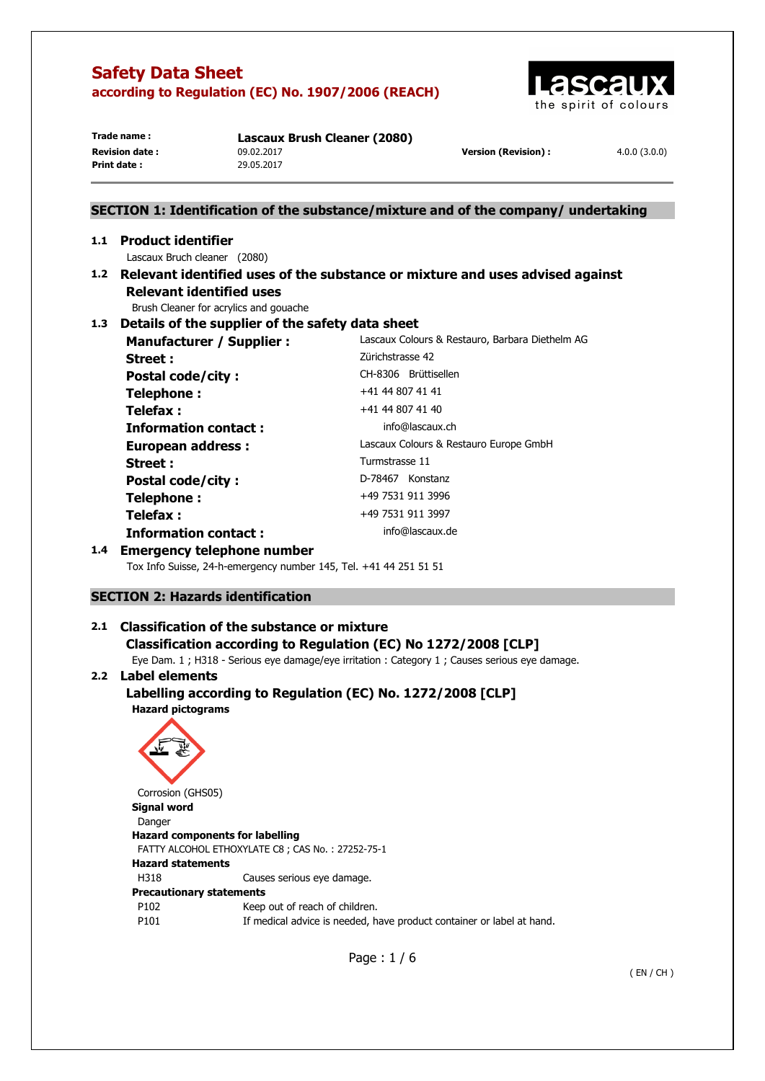

**Print date :** 29.05.2017

**Trade name : Lascaux Brush Cleaner (2080) Revision date :** 09.02.2017 **Version (Revision) :** 4.0.0 (3.0.0)

# **SECTION 1: Identification of the substance/mixture and of the company/ undertaking 1.1 Product identifier**  Lascaux Bruch cleaner (2080) **1.2 Relevant identified uses of the substance or mixture and uses advised against Relevant identified uses**  Brush Cleaner for acrylics and gouache **1.3 Details of the supplier of the safety data sheet Manufacturer / Supplier :** Lascaux Colours & Restauro, Barbara Diethelm AG **Street : Zürichstrasse 42** Postal code/city : CH-8306 Brüttisellen **Telephone :**  $+41 44 807 41 41$ **Telefax :**  $+41 44 807 41 40$ **Information contact : info@lascaux.ch European address :** Lascaux Colours & Restauro Europe GmbH Street : Turmstrasse 11 Postal code/city : D-78467 Konstanz **Telephone :**  $+49\,7531\,911\,3996$ **Telefax :** +49 7531 911 3997 **Information contact : info@lascaux.de**

## **1.4 Emergency telephone number**

Tox Info Suisse, 24-h-emergency number 145, Tel. +41 44 251 51 51

## **SECTION 2: Hazards identification**

## **2.1 Classification of the substance or mixture Classification according to Regulation (EC) No 1272/2008 [CLP]**

Eye Dam. 1 ; H318 - Serious eye damage/eye irritation : Category 1 ; Causes serious eye damage.

## **2.2 Label elements**

## **Labelling according to Regulation (EC) No. 1272/2008 [CLP] Hazard pictograms**



**Hazard components for labelling**  FATTY ALCOHOL ETHOXYLATE C8 ; CAS No. : 27252-75-1 **Hazard statements**  H318 Causes serious eye damage. **Precautionary statements**  P102 Keep out of reach of children. P101 If medical advice is needed, have product container or label at hand.

Page : 1 / 6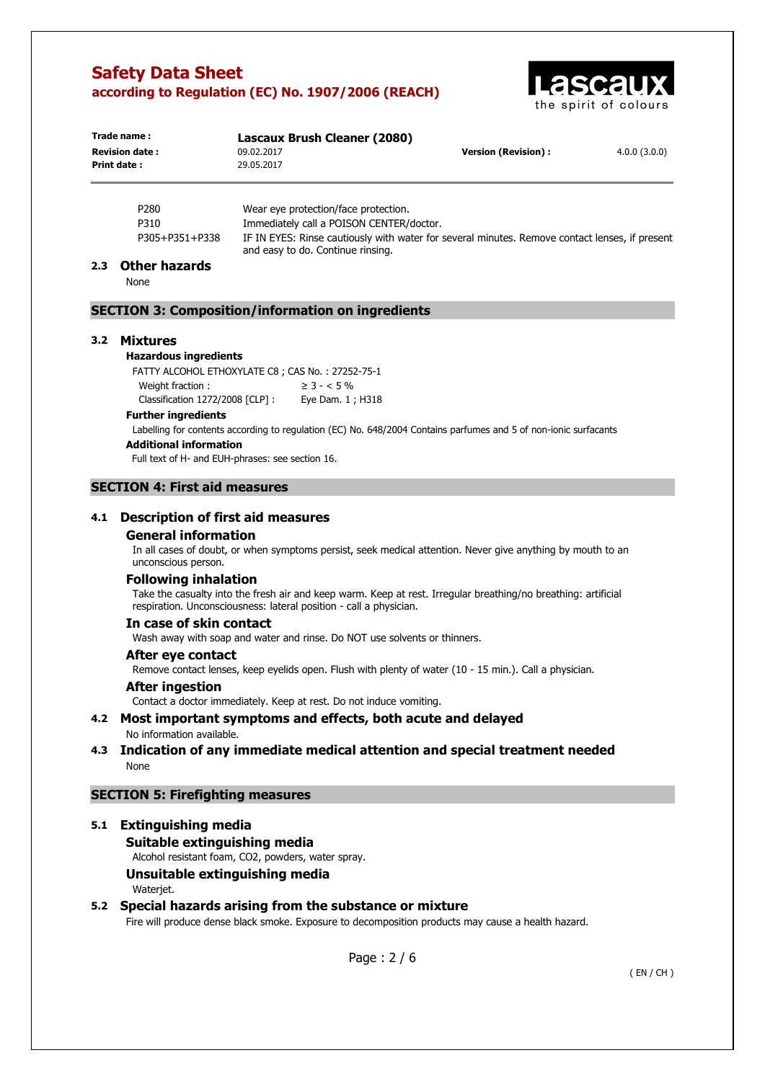

| Trade name:           | Lascaux Brush Cleaner (2080)                                                                                                        |                            |              |  |
|-----------------------|-------------------------------------------------------------------------------------------------------------------------------------|----------------------------|--------------|--|
| <b>Revision date:</b> | 09.02.2017                                                                                                                          | <b>Version (Revision):</b> | 4.0.0(3.0.0) |  |
| Print date:           | 29.05.2017                                                                                                                          |                            |              |  |
|                       |                                                                                                                                     |                            |              |  |
| P <sub>280</sub>      | Wear eye protection/face protection.                                                                                                |                            |              |  |
| P310                  | Immediately call a POISON CENTER/doctor.                                                                                            |                            |              |  |
| P305+P351+P338        | IF IN EYES: Rinse cautiously with water for several minutes. Remove contact lenses, if present<br>and easy to do. Continue rinsing. |                            |              |  |

#### **2.3 Other hazards**

None

### **SECTION 3: Composition/information on ingredients**

#### **3.2 Mixtures**

### **Hazardous ingredients**

FATTY ALCOHOL ETHOXYLATE C8 ; CAS No. : 27252-75-1 Weight fraction :  $\geq 3 - 5\%$ Classification 1272/2008 [CLP] : Eye Dam. 1 ; H318

### **Further ingredients**

Labelling for contents according to regulation (EC) No. 648/2004 Contains parfumes and 5 of non-ionic surfacants

### **Additional information**

Full text of H- and EUH-phrases: see section 16.

### **SECTION 4: First aid measures**

### **4.1 Description of first aid measures**

#### **General information**

In all cases of doubt, or when symptoms persist, seek medical attention. Never give anything by mouth to an unconscious person.

#### **Following inhalation**

Take the casualty into the fresh air and keep warm. Keep at rest. Irregular breathing/no breathing: artificial respiration. Unconsciousness: lateral position - call a physician.

### **In case of skin contact**

Wash away with soap and water and rinse. Do NOT use solvents or thinners.

#### **After eye contact**

Remove contact lenses, keep eyelids open. Flush with plenty of water (10 - 15 min.). Call a physician.

#### **After ingestion**

Contact a doctor immediately. Keep at rest. Do not induce vomiting.

#### **4.2 Most important symptoms and effects, both acute and delayed**  No information available.

### **4.3 Indication of any immediate medical attention and special treatment needed**  None

### **SECTION 5: Firefighting measures**

### **5.1 Extinguishing media**

#### **Suitable extinguishing media**

Alcohol resistant foam, CO2, powders, water spray.

### **Unsuitable extinguishing media**  Waterjet.

## **5.2 Special hazards arising from the substance or mixture**

Fire will produce dense black smoke. Exposure to decomposition products may cause a health hazard.

Page : 2 / 6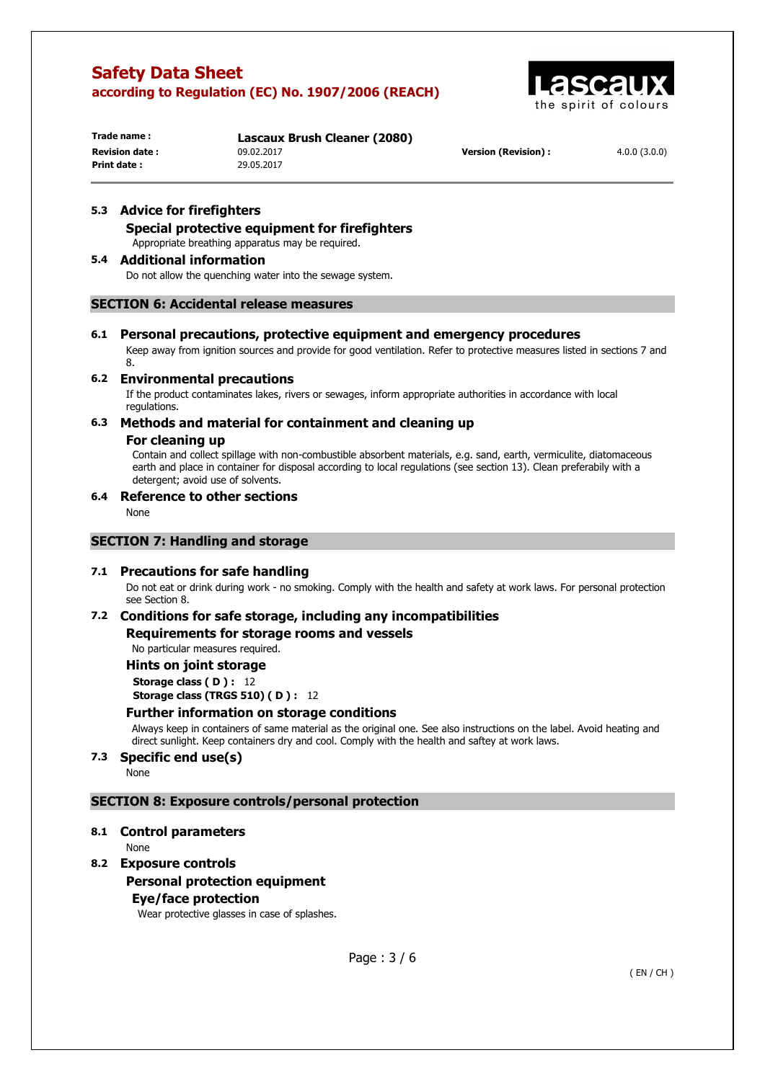

**Print date :** 29.05.2017

**Trade name : Lascaux Brush Cleaner (2080) Revision date :** 09.02.2017 **Version (Revision) :** 4.0.0 (3.0.0)

## **5.3 Advice for firefighters**

**Special protective equipment for firefighters** 

Appropriate breathing apparatus may be required.

### **5.4 Additional information**

Do not allow the quenching water into the sewage system.

### **SECTION 6: Accidental release measures**

### **6.1 Personal precautions, protective equipment and emergency procedures**

Keep away from ignition sources and provide for good ventilation. Refer to protective measures listed in sections 7 and

### **6.2 Environmental precautions**

If the product contaminates lakes, rivers or sewages, inform appropriate authorities in accordance with local regulations.

### **6.3 Methods and material for containment and cleaning up**

### **For cleaning up**

Contain and collect spillage with non-combustible absorbent materials, e.g. sand, earth, vermiculite, diatomaceous earth and place in container for disposal according to local regulations (see section 13). Clean preferabily with a detergent; avoid use of solvents.

## **6.4 Reference to other sections**

None

8.

### **SECTION 7: Handling and storage**

### **7.1 Precautions for safe handling**

Do not eat or drink during work - no smoking. Comply with the health and safety at work laws. For personal protection see Section 8.

### **7.2 Conditions for safe storage, including any incompatibilities**

**Requirements for storage rooms and vessels** 

No particular measures required.

### **Hints on joint storage**

**Storage class (D): 12 Storage class (TRGS 510) (D): 12** 

### **Further information on storage conditions**

Always keep in containers of same material as the original one. See also instructions on the label. Avoid heating and direct sunlight. Keep containers dry and cool. Comply with the health and saftey at work laws.

# **7.3 Specific end use(s)**

None

### **SECTION 8: Exposure controls/personal protection**

### **8.1 Control parameters**

None

## **8.2 Exposure controls**

### **Personal protection equipment**

### **Eye/face protection**

Wear protective glasses in case of splashes.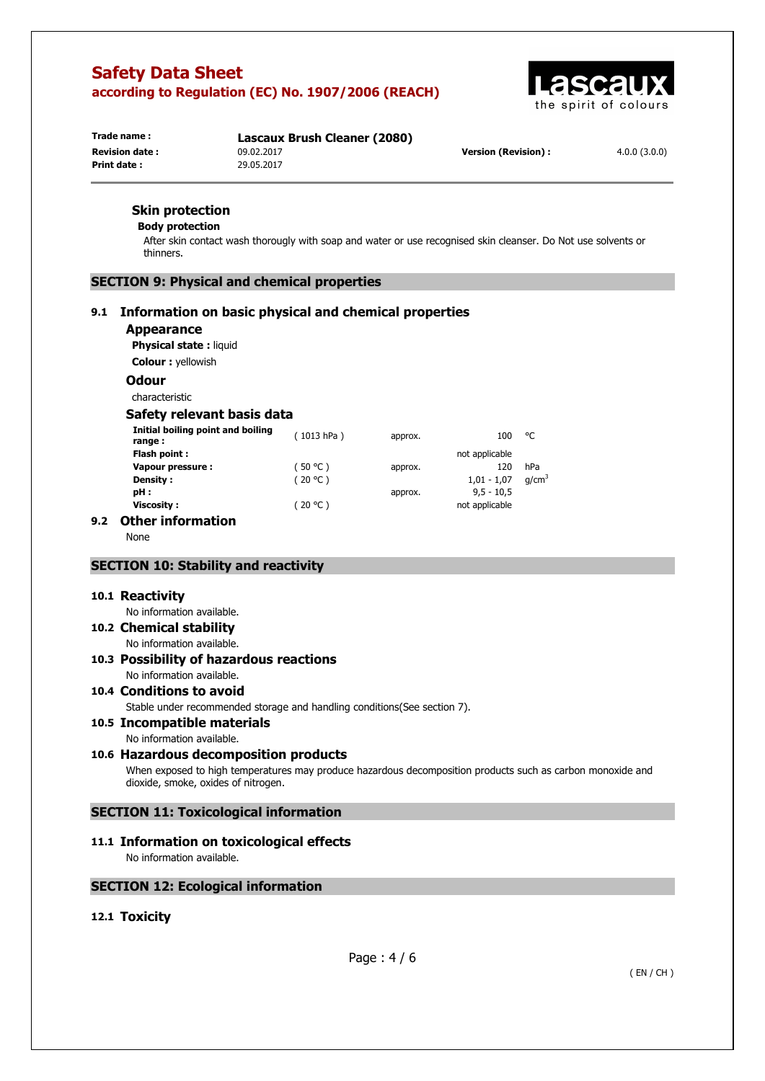

**Trade name : Lascaux Brush Cleaner (2080) Print date :** 29.05.2017

**Revision date :** 09.02.2017 **Version (Revision) :** 4.0.0 (3.0.0)

## **Skin protection**

#### **Body protection**

After skin contact wash thorougly with soap and water or use recognised skin cleanser. Do Not use solvents or thinners.

## **SECTION 9: Physical and chemical properties**

## **9.1 Information on basic physical and chemical properties**

### **Appearance**

**Physical state :** liquid

**Colour :** yellowish

## **Odour**

characteristic

### **Safety relevant basis data**

| Initial boiling point and boiling<br>range : | (1013 hPa) | approx. | 100            | °C                |
|----------------------------------------------|------------|---------|----------------|-------------------|
| Flash point :                                |            |         | not applicable |                   |
| Vapour pressure :                            | (50 °C)    | approx. | 120            | hPa               |
| Density :                                    | (20 °C)    |         | $1,01 - 1,07$  | q/cm <sup>3</sup> |
| pH :                                         |            | approx. | $9,5 - 10,5$   |                   |
| Viscosity :                                  | (20 °C)    |         | not applicable |                   |
|                                              |            |         |                |                   |

## **9.2 Other information**

None

### **SECTION 10: Stability and reactivity**

### **10.1 Reactivity**

No information available.

**10.2 Chemical stability** 

No information available.

### **10.3 Possibility of hazardous reactions**  No information available.

# **10.4 Conditions to avoid**

Stable under recommended storage and handling conditions(See section 7).

## **10.5 Incompatible materials**

No information available.

### **10.6 Hazardous decomposition products**

When exposed to high temperatures may produce hazardous decomposition products such as carbon monoxide and dioxide, smoke, oxides of nitrogen.

## **SECTION 11: Toxicological information**

# **11.1 Information on toxicological effects**

No information available.

### **SECTION 12: Ecological information**

## **12.1 Toxicity**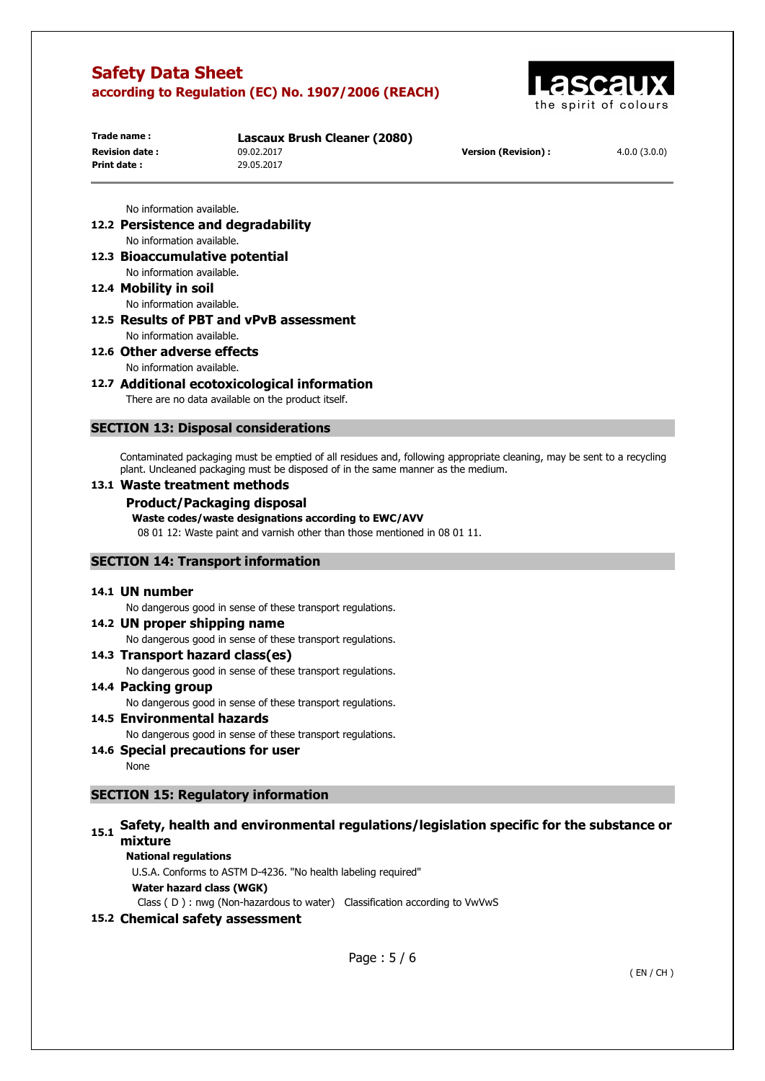

| Trade name:           | Lascaux Brush Cleaner (2080) |                      |              |
|-----------------------|------------------------------|----------------------|--------------|
| <b>Revision date:</b> | 09.02.2017                   | Version (Revision) : | 4.0.0(3.0.0) |
| Print date :          | 29.05.2017                   |                      |              |
|                       |                              |                      |              |

No information available.

**12.2 Persistence and degradability**  No information available.

**12.3 Bioaccumulative potential** 

No information available.

- **12.4 Mobility in soil**  No information available.
- **12.5 Results of PBT and vPvB assessment**  No information available.

# **12.6 Other adverse effects**

No information available.

## **12.7 Additional ecotoxicological information**

There are no data available on the product itself.

### **SECTION 13: Disposal considerations**

Contaminated packaging must be emptied of all residues and, following appropriate cleaning, may be sent to a recycling plant. Uncleaned packaging must be disposed of in the same manner as the medium.

### **13.1 Waste treatment methods**

### **Product/Packaging disposal**

### **Waste codes/waste designations according to EWC/AVV**

08 01 12: Waste paint and varnish other than those mentioned in 08 01 11.

### **SECTION 14: Transport information**

### **14.1 UN number**

No dangerous good in sense of these transport regulations.

**14.2 UN proper shipping name** 

No dangerous good in sense of these transport regulations.

**14.3 Transport hazard class(es)**  No dangerous good in sense of these transport regulations.

### **14.4 Packing group**  No dangerous good in sense of these transport regulations.

**14.5 Environmental hazards** 

No dangerous good in sense of these transport regulations.

**14.6 Special precautions for user**  None

### **SECTION 15: Regulatory information**

# 15.1 Safety, health and environmental regulations/legislation specific for the substance or **mixture**

### **National regulations**

U.S.A. Conforms to ASTM D-4236. "No health labeling required"

**Water hazard class (WGK)** 

Class ( D ) : nwg (Non-hazardous to water) Classification according to VwVwS

## **15.2 Chemical safety assessment**